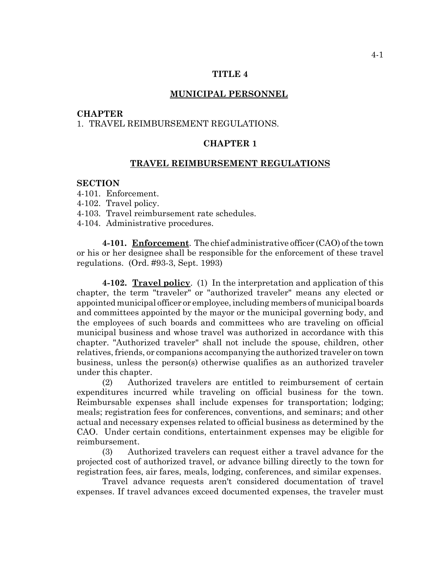## **TITLE 4**

## **MUNICIPAL PERSONNEL**

### **CHAPTER**

# 1. TRAVEL REIMBURSEMENT REGULATIONS.

### **CHAPTER 1**

### **TRAVEL REIMBURSEMENT REGULATIONS**

## **SECTION**

- 4-101. Enforcement.
- 4-102. Travel policy.
- 4-103. Travel reimbursement rate schedules.
- 4-104. Administrative procedures.

**4-101. Enforcement**. The chief administrative officer (CAO) of the town or his or her designee shall be responsible for the enforcement of these travel regulations. (Ord. #93-3, Sept. 1993)

**4-102. Travel policy**. (1) In the interpretation and application of this chapter, the term "traveler" or "authorized traveler" means any elected or appointed municipal officer or employee, including members of municipal boards and committees appointed by the mayor or the municipal governing body, and the employees of such boards and committees who are traveling on official municipal business and whose travel was authorized in accordance with this chapter. "Authorized traveler" shall not include the spouse, children, other relatives, friends, or companions accompanying the authorized traveler on town business, unless the person(s) otherwise qualifies as an authorized traveler under this chapter.

(2) Authorized travelers are entitled to reimbursement of certain expenditures incurred while traveling on official business for the town. Reimbursable expenses shall include expenses for transportation; lodging; meals; registration fees for conferences, conventions, and seminars; and other actual and necessary expenses related to official business as determined by the CAO. Under certain conditions, entertainment expenses may be eligible for reimbursement.

(3) Authorized travelers can request either a travel advance for the projected cost of authorized travel, or advance billing directly to the town for registration fees, air fares, meals, lodging, conferences, and similar expenses.

Travel advance requests aren't considered documentation of travel expenses. If travel advances exceed documented expenses, the traveler must